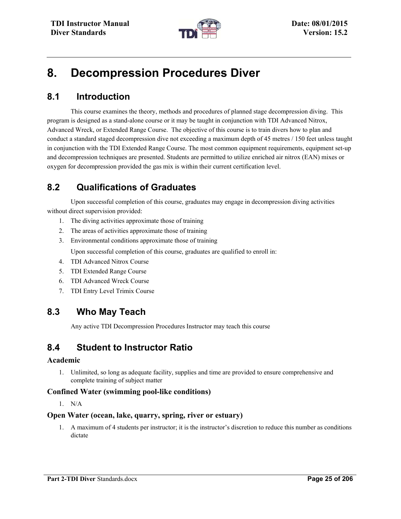

# **8. Decompression Procedures Diver**

# **8.1 Introduction**

This course examines the theory, methods and procedures of planned stage decompression diving. This program is designed as a stand-alone course or it may be taught in conjunction with TDI Advanced Nitrox, Advanced Wreck, or Extended Range Course. The objective of this course is to train divers how to plan and conduct a standard staged decompression dive not exceeding a maximum depth of 45 metres / 150 feet unless taught in conjunction with the TDI Extended Range Course. The most common equipment requirements, equipment set-up and decompression techniques are presented. Students are permitted to utilize enriched air nitrox (EAN) mixes or oxygen for decompression provided the gas mix is within their current certification level.

# **8.2 Qualifications of Graduates**

Upon successful completion of this course, graduates may engage in decompression diving activities without direct supervision provided:

- 1. The diving activities approximate those of training
- 2. The areas of activities approximate those of training
- 3. Environmental conditions approximate those of training

Upon successful completion of this course, graduates are qualified to enroll in:

- 4. TDI Advanced Nitrox Course
- 5. TDI Extended Range Course
- 6. TDI Advanced Wreck Course
- 7. TDI Entry Level Trimix Course

# **8.3 Who May Teach**

Any active TDI Decompression Procedures Instructor may teach this course

### **8.4 Student to Instructor Ratio**

#### **Academic**

1. Unlimited, so long as adequate facility, supplies and time are provided to ensure comprehensive and complete training of subject matter

### **Confined Water (swimming pool-like conditions)**

1. N/A

#### **Open Water (ocean, lake, quarry, spring, river or estuary)**

1. A maximum of 4 students per instructor; it is the instructor's discretion to reduce this number as conditions dictate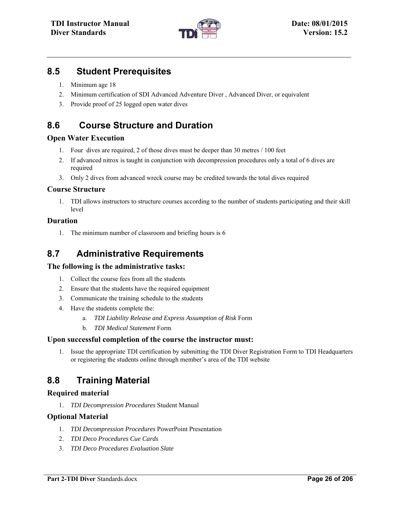

### **8.5 Student Prerequisites**

- 1. Minimum age 18
- 2. Minimum certification of SDI Advanced Adventure Diver , Advanced Diver, or equivalent
- 3. Provide proof of 25 logged open water dives

# **8.6 Course Structure and Duration**

### **Open Water Execution**

- 1. Four dives are required, 2 of those dives must be deeper than 30 metres / 100 feet
- 2. If advanced nitrox is taught in conjunction with decompression procedures only a total of 6 dives are required
- 3. Only 2 dives from advanced wreck course may be credited towards the total dives required

### **Course Structure**

1. TDI allows instructors to structure courses according to the number of students participating and their skill level

### **Duration**

1. The minimum number of classroom and briefing hours is 6

# **8.7 Administrative Requirements**

#### **The following is the administrative tasks:**

- 1. Collect the course fees from all the students
- 2. Ensure that the students have the required equipment
- 3. Communicate the training schedule to the students
- 4. Have the students complete the:
	- a. *TDI Liability Release and Express Assumption of Risk* Form
	- b. *TDI Medical Statement* Form

#### **Upon successful completion of the course the instructor must:**

1. Issue the appropriate TDI certification by submitting the TDI Diver Registration Form to TDI Headquarters or registering the students online through member's area of the TDI website

# **8.8 Training Material**

### **Required material**

1. *TDI Decompression Procedures* Student Manual

### **Optional Material**

- 1. *TDI Decompression Procedures* PowerPoint Presentation
- 2. *TDI Deco Procedures Cue Cards*
- 3. *TDI Deco Procedures Evaluation Slate*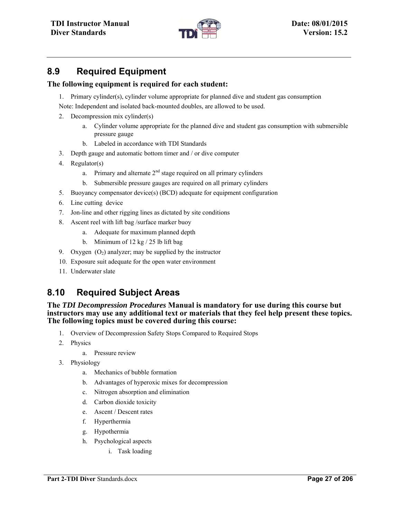

# **8.9 Required Equipment**

### **The following equipment is required for each student:**

- 1. Primary cylinder(s), cylinder volume appropriate for planned dive and student gas consumption
- Note: Independent and isolated back-mounted doubles, are allowed to be used.
- 2. Decompression mix cylinder(s)
	- a. Cylinder volume appropriate for the planned dive and student gas consumption with submersible pressure gauge
	- b. Labeled in accordance with TDI Standards
- 3. Depth gauge and automatic bottom timer and / or dive computer
- 4. Regulator(s)
	- a. Primary and alternate  $2<sup>nd</sup>$  stage required on all primary cylinders
	- b. Submersible pressure gauges are required on all primary cylinders
- 5. Buoyancy compensator device(s) (BCD) adequate for equipment configuration
- 6. Line cutting device
- 7. Jon-line and other rigging lines as dictated by site conditions
- 8. Ascent reel with lift bag /surface marker buoy
	- a. Adequate for maximum planned depth
	- b. Minimum of 12 kg / 25 lb lift bag
- 9. Oxygen  $(O_2)$  analyzer; may be supplied by the instructor
- 10. Exposure suit adequate for the open water environment
- 11. Underwater slate

# **8.10 Required Subject Areas**

#### **The** *TDI Decompression Procedures* **Manual is mandatory for use during this course but instructors may use any additional text or materials that they feel help present these topics. The following topics must be covered during this course:**

- 1. Overview of Decompression Safety Stops Compared to Required Stops
- 2. Physics
	- a. Pressure review
- 3. Physiology
	- a. Mechanics of bubble formation
	- b. Advantages of hyperoxic mixes for decompression
	- c. Nitrogen absorption and elimination
	- d. Carbon dioxide toxicity
	- e. Ascent / Descent rates
	- f. Hyperthermia
	- g. Hypothermia
	- h. Psychological aspects
		- i. Task loading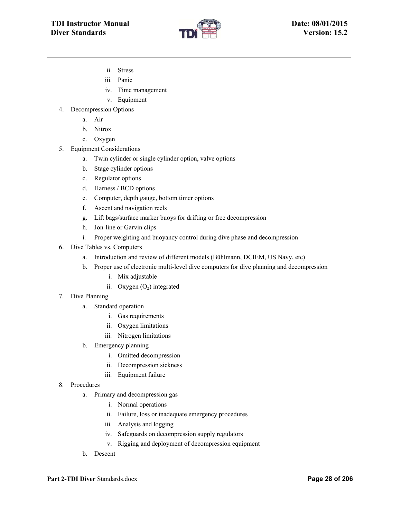

- ii. Stress
- iii. Panic
- iv. Time management
- v. Equipment
- 4. Decompression Options
	- a. Air
	- b. Nitrox
	- c. Oxygen
- 5. Equipment Considerations
	- a. Twin cylinder or single cylinder option, valve options
	- b. Stage cylinder options
	- c. Regulator options
	- d. Harness / BCD options
	- e. Computer, depth gauge, bottom timer options
	- f. Ascent and navigation reels
	- g. Lift bags/surface marker buoys for drifting or free decompression
	- h. Jon-line or Garvin clips
	- i. Proper weighting and buoyancy control during dive phase and decompression
- 6. Dive Tables vs. Computers
	- a. Introduction and review of different models (Bühlmann, DCIEM, US Navy, etc)
	- b. Proper use of electronic multi-level dive computers for dive planning and decompression
		- i. Mix adjustable
		- ii. Oxygen  $(O_2)$  integrated
- 7. Dive Planning
	- a. Standard operation
		- i. Gas requirements
		- ii. Oxygen limitations
		- iii. Nitrogen limitations
	- b. Emergency planning
		- i. Omitted decompression
		- ii. Decompression sickness
		- iii. Equipment failure
- 8. Procedures
	- a. Primary and decompression gas
		- i. Normal operations
		- ii. Failure, loss or inadequate emergency procedures
		- iii. Analysis and logging
		- iv. Safeguards on decompression supply regulators
		- v. Rigging and deployment of decompression equipment
	- b. Descent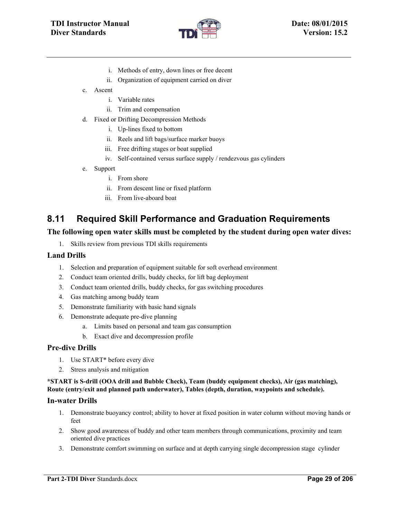

- i. Methods of entry, down lines or free decent
- ii. Organization of equipment carried on diver
- c. Ascent
	- i. Variable rates
	- ii. Trim and compensation
- d. Fixed or Drifting Decompression Methods
	- i. Up-lines fixed to bottom
	- ii. Reels and lift bags/surface marker buoys
	- iii. Free drifting stages or boat supplied
	- iv. Self-contained versus surface supply / rendezvous gas cylinders
- e. Support
	- i. From shore
	- ii. From descent line or fixed platform
	- iii. From live-aboard boat

# **8.11 Required Skill Performance and Graduation Requirements**

#### **The following open water skills must be completed by the student during open water dives:**

1. Skills review from previous TDI skills requirements

#### **Land Drills**

- 1. Selection and preparation of equipment suitable for soft overhead environment
- 2. Conduct team oriented drills, buddy checks, for lift bag deployment
- 3. Conduct team oriented drills, buddy checks, for gas switching procedures
- 4. Gas matching among buddy team
- 5. Demonstrate familiarity with basic hand signals
- 6. Demonstrate adequate pre-dive planning
	- a. Limits based on personal and team gas consumption
	- b. Exact dive and decompression profile

#### **Pre-dive Drills**

- 1. Use START\* before every dive
- 2. Stress analysis and mitigation

#### **\*START is S-drill (OOA drill and Bubble Check), Team (buddy equipment checks), Air (gas matching), Route (entry/exit and planned path underwater), Tables (depth, duration, waypoints and schedule).**

#### **In-water Drills**

- 1. Demonstrate buoyancy control; ability to hover at fixed position in water column without moving hands or feet
- 2. Show good awareness of buddy and other team members through communications, proximity and team oriented dive practices
- 3. Demonstrate comfort swimming on surface and at depth carrying single decompression stage cylinder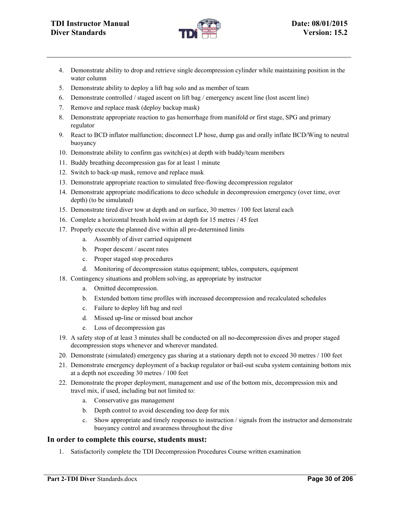

- 4. Demonstrate ability to drop and retrieve single decompression cylinder while maintaining position in the water column
- 5. Demonstrate ability to deploy a lift bag solo and as member of team
- 6. Demonstrate controlled / staged ascent on lift bag / emergency ascent line (lost ascent line)
- 7. Remove and replace mask (deploy backup mask)
- 8. Demonstrate appropriate reaction to gas hemorrhage from manifold or first stage, SPG and primary regulator
- 9. React to BCD inflator malfunction; disconnect LP hose, dump gas and orally inflate BCD/Wing to neutral buoyancy
- 10. Demonstrate ability to confirm gas switch(es) at depth with buddy/team members
- 11. Buddy breathing decompression gas for at least 1 minute
- 12. Switch to back-up mask, remove and replace mask
- 13. Demonstrate appropriate reaction to simulated free-flowing decompression regulator
- 14. Demonstrate appropriate modifications to deco schedule in decompression emergency (over time, over depth) (to be simulated)
- 15. Demonstrate tired diver tow at depth and on surface, 30 metres / 100 feet lateral each
- 16. Complete a horizontal breath hold swim at depth for 15 metres / 45 feet
- 17. Properly execute the planned dive within all pre-determined limits
	- a. Assembly of diver carried equipment
	- b. Proper descent / ascent rates
	- c. Proper staged stop procedures
	- d. Monitoring of decompression status equipment; tables, computers, equipment
- 18. Contingency situations and problem solving, as appropriate by instructor
	- a. Omitted decompression.
	- b. Extended bottom time profiles with increased decompression and recalculated schedules
	- c. Failure to deploy lift bag and reel
	- d. Missed up-line or missed boat anchor
	- e. Loss of decompression gas
- 19. A safety stop of at least 3 minutes shall be conducted on all no-decompression dives and proper staged decompression stops whenever and wherever mandated.
- 20. Demonstrate (simulated) emergency gas sharing at a stationary depth not to exceed 30 metres / 100 feet
- 21. Demonstrate emergency deployment of a backup regulator or bail-out scuba system containing bottom mix at a depth not exceeding 30 metres / 100 feet
- 22. Demonstrate the proper deployment, management and use of the bottom mix, decompression mix and travel mix, if used, including but not limited to:
	- a. Conservative gas management
	- b. Depth control to avoid descending too deep for mix
	- c. Show appropriate and timely responses to instruction / signals from the instructor and demonstrate buoyancy control and awareness throughout the dive

#### **In order to complete this course, students must:**

1. Satisfactorily complete the TDI Decompression Procedures Course written examination